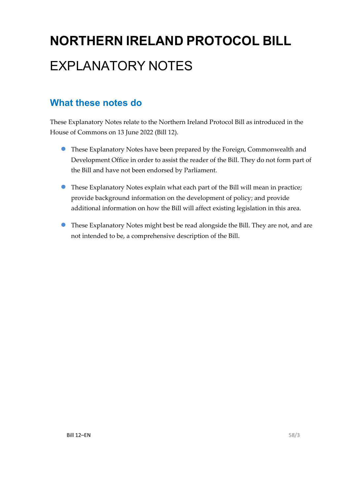# **NORTHERN IRELAND PROTOCOL BILL** EXPLANATORY NOTES

### **What these notes do**

- These Explanatory Notes have been prepared by the Foreign, Commonwealth and Development Office in order to assist the reader of the Bill. They do not form part of the Bill and have not been endorsed by Parliament.
- These Explanatory Notes explain what each part of the Bill will mean in practice; provide background information on the development of policy; and provide additional information on how the Bill will affect existing legislation in this area.
- These Explanatory Notes might best be read alongside the Bill. They are not, and are not intended to be, a comprehensive description of the Bill.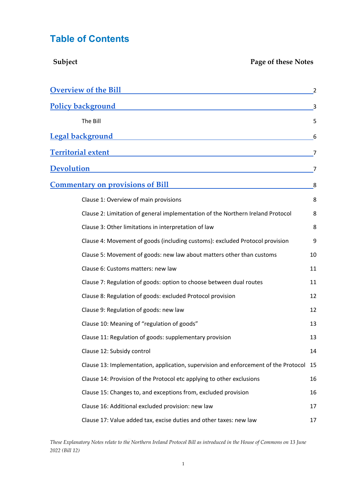### **Table of Contents**

| Subject<br>Page of these Notes                                                      |    |
|-------------------------------------------------------------------------------------|----|
| <b>Overview of the Bill</b>                                                         | 2  |
| <b>Policy background</b>                                                            | 3  |
| The Bill                                                                            | 5  |
| <b>Legal background</b>                                                             | 6  |
| <b>Territorial extent</b>                                                           | 7  |
| <b>Devolution</b>                                                                   | 7  |
| <u><b>Commentary on provisions of Bill</b></u>                                      | 8  |
| Clause 1: Overview of main provisions                                               | 8  |
| Clause 2: Limitation of general implementation of the Northern Ireland Protocol     | 8  |
| Clause 3: Other limitations in interpretation of law                                | 8  |
| Clause 4: Movement of goods (including customs): excluded Protocol provision        | 9  |
| Clause 5: Movement of goods: new law about matters other than customs               | 10 |
| Clause 6: Customs matters: new law                                                  | 11 |
| Clause 7: Regulation of goods: option to choose between dual routes                 | 11 |
| Clause 8: Regulation of goods: excluded Protocol provision                          | 12 |
| Clause 9: Regulation of goods: new law                                              | 12 |
| Clause 10: Meaning of "regulation of goods"                                         | 13 |
| Clause 11: Regulation of goods: supplementary provision                             | 13 |
| Clause 12: Subsidy control                                                          | 14 |
| Clause 13: Implementation, application, supervision and enforcement of the Protocol | 15 |
| Clause 14: Provision of the Protocol etc applying to other exclusions               | 16 |
| Clause 15: Changes to, and exceptions from, excluded provision                      | 16 |
| Clause 16: Additional excluded provision: new law                                   | 17 |
| Clause 17: Value added tax, excise duties and other taxes: new law                  | 17 |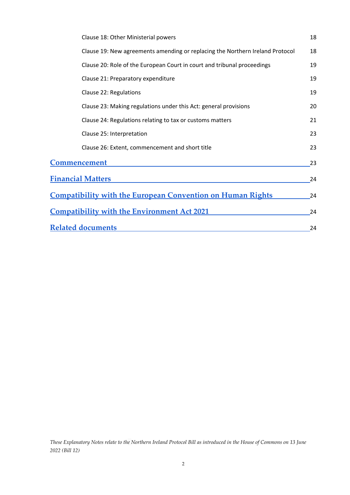<span id="page-2-0"></span>

| Clause 18: Other Ministerial powers                                           | 18 |
|-------------------------------------------------------------------------------|----|
| Clause 19: New agreements amending or replacing the Northern Ireland Protocol | 18 |
| Clause 20: Role of the European Court in court and tribunal proceedings       | 19 |
| Clause 21: Preparatory expenditure                                            | 19 |
| Clause 22: Regulations                                                        | 19 |
| Clause 23: Making regulations under this Act: general provisions              | 20 |
| Clause 24: Regulations relating to tax or customs matters                     | 21 |
| Clause 25: Interpretation                                                     | 23 |
| Clause 26: Extent, commencement and short title                               | 23 |
| <b>Commencement</b>                                                           | 23 |
| <b>Financial Matters</b>                                                      | 24 |
| <u><b>Compatibility with the European Convention on Human Rights</b></u>      | 24 |
| <b>Compatibility with the Environment Act 2021</b>                            | 24 |
| <b>Related documents</b>                                                      | 24 |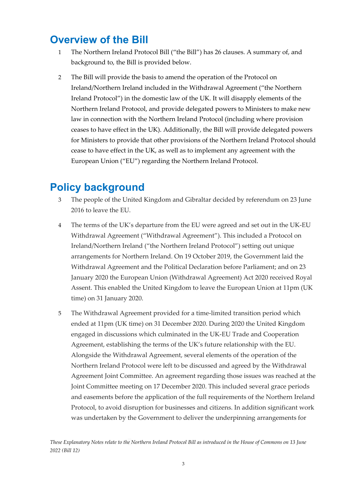### **Overview of the Bill**

- 1 The Northern Ireland Protocol Bill ("the Bill") has 26 clauses. A summary of, and background to, the Bill is provided below.
- 2 The Bill will provide the basis to amend the operation of the Protocol on Ireland/Northern Ireland included in the Withdrawal Agreement ("the Northern Ireland Protocol") in the domestic law of the UK. It will disapply elements of the Northern Ireland Protocol, and provide delegated powers to Ministers to make new law in connection with the Northern Ireland Protocol (including where provision ceases to have effect in the UK). Additionally, the Bill will provide delegated powers for Ministers to provide that other provisions of the Northern Ireland Protocol should cease to have effect in the UK, as well as to implement any agreement with the European Union ("EU") regarding the Northern Ireland Protocol.

### <span id="page-3-0"></span>**Policy background**

- 3 The people of the United Kingdom and Gibraltar decided by referendum on 23 June 2016 to leave the EU.
- 4 The terms of the UK's departure from the EU were agreed and set out in the UK-EU Withdrawal Agreement ("Withdrawal Agreement"). This included a Protocol on Ireland/Northern Ireland ("the Northern Ireland Protocol") setting out unique arrangements for Northern Ireland. On 19 October 2019, the Government laid the Withdrawal Agreement and the Political Declaration before Parliament; and on 23 January 2020 the European Union (Withdrawal Agreement) Act 2020 received Royal Assent. This enabled the United Kingdom to leave the European Union at 11pm (UK time) on 31 January 2020.
- 5 The Withdrawal Agreement provided for a time-limited transition period which ended at 11pm (UK time) on 31 December 2020. During 2020 the United Kingdom engaged in discussions which culminated in the UK-EU Trade and Cooperation Agreement, establishing the terms of the UK's future relationship with the EU. Alongside the Withdrawal Agreement, several elements of the operation of the Northern Ireland Protocol were left to be discussed and agreed by the Withdrawal Agreement Joint Committee. An agreement regarding those issues was reached at the Joint Committee meeting on 17 December 2020. This included several grace periods and easements before the application of the full requirements of the Northern Ireland Protocol, to avoid disruption for businesses and citizens. In addition significant work was undertaken by the Government to deliver the underpinning arrangements for

*These Explanatory Notes relate to the Northern Ireland Protocol Bill as introduced in the House of Commons on 13 June 2022 (Bill 12)*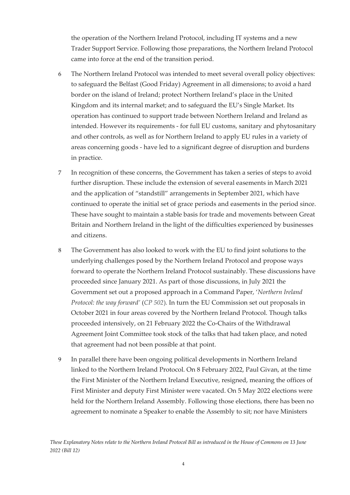the operation of the Northern Ireland Protocol, including IT systems and a new Trader Support Service. Following those preparations, the Northern Ireland Protocol came into force at the end of the transition period.

- 6 The Northern Ireland Protocol was intended to meet several overall policy objectives: to safeguard the Belfast (Good Friday) Agreement in all dimensions; to avoid a hard border on the island of Ireland; protect Northern Ireland's place in the United Kingdom and its internal market; and to safeguard the EU's Single Market. Its operation has continued to support trade between Northern Ireland and Ireland as intended. However its requirements - for full EU customs, sanitary and phytosanitary and other controls, as well as for Northern Ireland to apply EU rules in a variety of areas concerning goods - have led to a significant degree of disruption and burdens in practice.
- 7 In recognition of these concerns, the Government has taken a series of steps to avoid further disruption. These include the extension of several easements in March 2021 and the application of "standstill" arrangements in September 2021, which have continued to operate the initial set of grace periods and easements in the period since. These have sought to maintain a stable basis for trade and movements between Great Britain and Northern Ireland in the light of the difficulties experienced by businesses and citizens.
- 8 The Government has also looked to work with the EU to find joint solutions to the underlying challenges posed by the Northern Ireland Protocol and propose ways forward to operate the Northern Ireland Protocol sustainably. These discussions have proceeded since January 2021. As part of those discussions, in July 2021 the Government set out a proposed approach in a Command Paper, '*Northern Ireland Protocol: the way forward'* (*CP 502*)*.* In turn the EU Commission set out proposals in October 2021 in four areas covered by the Northern Ireland Protocol. Though talks proceeded intensively, on 21 February 2022 the Co-Chairs of the Withdrawal Agreement Joint Committee took stock of the talks that had taken place, and noted that agreement had not been possible at that point.
- 9 In parallel there have been ongoing political developments in Northern Ireland linked to the Northern Ireland Protocol. On 8 February 2022, Paul Givan, at the time the First Minister of the Northern Ireland Executive, resigned, meaning the offices of First Minister and deputy First Minister were vacated. On 5 May 2022 elections were held for the Northern Ireland Assembly. Following those elections, there has been no agreement to nominate a Speaker to enable the Assembly to sit; nor have Ministers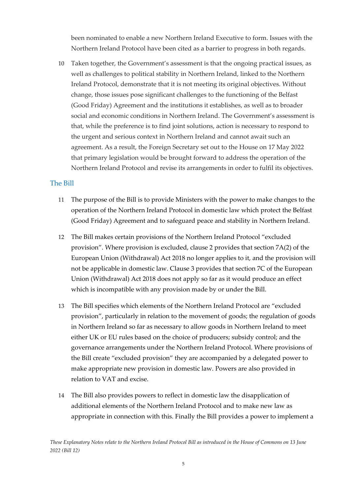been nominated to enable a new Northern Ireland Executive to form. Issues with the Northern Ireland Protocol have been cited as a barrier to progress in both regards.

10 Taken together, the Government's assessment is that the ongoing practical issues, as well as challenges to political stability in Northern Ireland, linked to the Northern Ireland Protocol, demonstrate that it is not meeting its original objectives. Without change, those issues pose significant challenges to the functioning of the Belfast (Good Friday) Agreement and the institutions it establishes, as well as to broader social and economic conditions in Northern Ireland. The Government's assessment is that, while the preference is to find joint solutions, action is necessary to respond to the urgent and serious context in Northern Ireland and cannot await such an agreement. As a result, the Foreign Secretary set out to the House on 17 May 2022 that primary legislation would be brought forward to address the operation of the Northern Ireland Protocol and revise its arrangements in order to fulfil its objectives.

#### <span id="page-5-0"></span>The Bill

- 11 The purpose of the Bill is to provide Ministers with the power to make changes to the operation of the Northern Ireland Protocol in domestic law which protect the Belfast (Good Friday) Agreement and to safeguard peace and stability in Northern Ireland.
- 12 The Bill makes certain provisions of the Northern Ireland Protocol "excluded provision". Where provision is excluded, clause 2 provides that section 7A(2) of the European Union (Withdrawal) Act 2018 no longer applies to it, and the provision will not be applicable in domestic law. Clause 3 provides that section 7C of the European Union (Withdrawal) Act 2018 does not apply so far as it would produce an effect which is incompatible with any provision made by or under the Bill.
- 13 The Bill specifies which elements of the Northern Ireland Protocol are "excluded provision", particularly in relation to the movement of goods; the regulation of goods in Northern Ireland so far as necessary to allow goods in Northern Ireland to meet either UK or EU rules based on the choice of producers; subsidy control; and the governance arrangements under the Northern Ireland Protocol. Where provisions of the Bill create "excluded provision" they are accompanied by a delegated power to make appropriate new provision in domestic law. Powers are also provided in relation to VAT and excise.
- 14 The Bill also provides powers to reflect in domestic law the disapplication of additional elements of the Northern Ireland Protocol and to make new law as appropriate in connection with this. Finally the Bill provides a power to implement a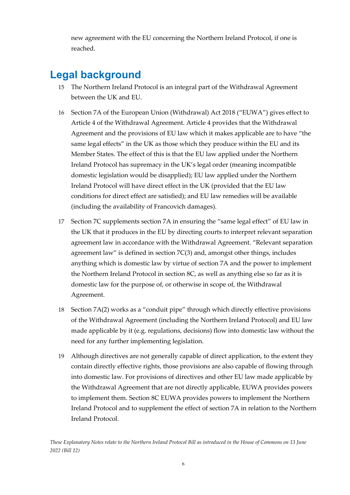new agreement with the EU concerning the Northern Ireland Protocol, if one is reached.

### <span id="page-6-0"></span>**Legal background**

- 15 The Northern Ireland Protocol is an integral part of the Withdrawal Agreement between the UK and EU.
- 16 Section 7A of the European Union (Withdrawal) Act 2018 ("EUWA") gives effect to Article 4 of the Withdrawal Agreement. Article 4 provides that the Withdrawal Agreement and the provisions of EU law which it makes applicable are to have "the same legal effects" in the UK as those which they produce within the EU and its Member States. The effect of this is that the EU law applied under the Northern Ireland Protocol has supremacy in the UK's legal order (meaning incompatible domestic legislation would be disapplied); EU law applied under the Northern Ireland Protocol will have direct effect in the UK (provided that the EU law conditions for direct effect are satisfied); and EU law remedies will be available (including the availability of Francovich damages).
- 17 Section 7C supplements section 7A in ensuring the "same legal effect" of EU law in the UK that it produces in the EU by directing courts to interpret relevant separation agreement law in accordance with the Withdrawal Agreement. "Relevant separation agreement law" is defined in section 7C(3) and, amongst other things, includes anything which is domestic law by virtue of section 7A and the power to implement the Northern Ireland Protocol in section 8C, as well as anything else so far as it is domestic law for the purpose of, or otherwise in scope of, the Withdrawal Agreement.
- 18 Section 7A(2) works as a "conduit pipe" through which directly effective provisions of the Withdrawal Agreement (including the Northern Ireland Protocol) and EU law made applicable by it (e.g. regulations, decisions) flow into domestic law without the need for any further implementing legislation.
- 19 Although directives are not generally capable of direct application, to the extent they contain directly effective rights, those provisions are also capable of flowing through into domestic law. For provisions of directives and other EU law made applicable by the Withdrawal Agreement that are not directly applicable, EUWA provides powers to implement them. Section 8C EUWA provides powers to implement the Northern Ireland Protocol and to supplement the effect of section 7A in relation to the Northern Ireland Protocol.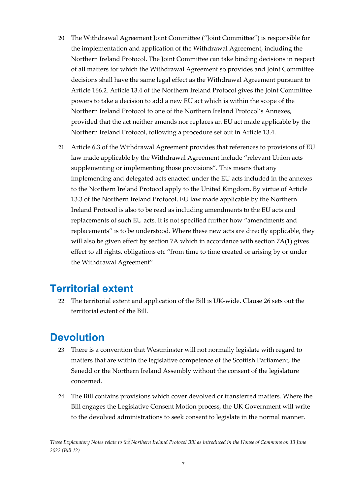- 20 The Withdrawal Agreement Joint Committee ("Joint Committee") is responsible for the implementation and application of the Withdrawal Agreement, including the Northern Ireland Protocol. The Joint Committee can take binding decisions in respect of all matters for which the Withdrawal Agreement so provides and Joint Committee decisions shall have the same legal effect as the Withdrawal Agreement pursuant to Article 166.2. Article 13.4 of the Northern Ireland Protocol gives the Joint Committee powers to take a decision to add a new EU act which is within the scope of the Northern Ireland Protocol to one of the Northern Ireland Protocol's Annexes, provided that the act neither amends nor replaces an EU act made applicable by the Northern Ireland Protocol, following a procedure set out in Article 13.4.
- 21 Article 6.3 of the Withdrawal Agreement provides that references to provisions of EU law made applicable by the Withdrawal Agreement include "relevant Union acts supplementing or implementing those provisions". This means that any implementing and delegated acts enacted under the EU acts included in the annexes to the Northern Ireland Protocol apply to the United Kingdom. By virtue of Article 13.3 of the Northern Ireland Protocol, EU law made applicable by the Northern Ireland Protocol is also to be read as including amendments to the EU acts and replacements of such EU acts. It is not specified further how "amendments and replacements" is to be understood. Where these new acts are directly applicable, they will also be given effect by section 7A which in accordance with section 7A(1) gives effect to all rights, obligations etc "from time to time created or arising by or under the Withdrawal Agreement".

### <span id="page-7-0"></span>**Territorial extent**

22 The territorial extent and application of the Bill is UK-wide. Clause 26 sets out the territorial extent of the Bill.

### <span id="page-7-1"></span>**Devolution**

- 23 There is a convention that Westminster will not normally legislate with regard to matters that are within the legislative competence of the Scottish Parliament, the Senedd or the Northern Ireland Assembly without the consent of the legislature concerned.
- 24 The Bill contains provisions which cover devolved or transferred matters. Where the Bill engages the Legislative Consent Motion process, the UK Government will write to the devolved administrations to seek consent to legislate in the normal manner.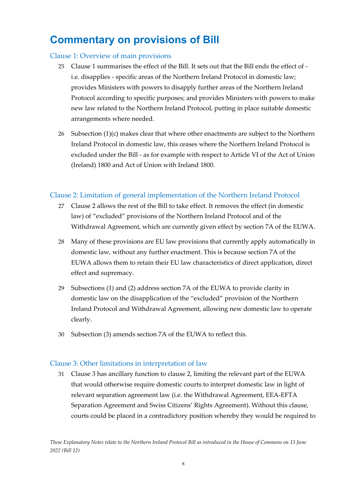### <span id="page-8-0"></span>**Commentary on provisions of Bill**

#### <span id="page-8-1"></span>Clause 1: Overview of main provisions

- 25 Clause 1 summarises the effect of the Bill. It sets out that the Bill ends the effect of i.e. disapplies - specific areas of the Northern Ireland Protocol in domestic law; provides Ministers with powers to disapply further areas of the Northern Ireland Protocol according to specific purposes; and provides Ministers with powers to make new law related to the Northern Ireland Protocol, putting in place suitable domestic arrangements where needed.
- 26 Subsection (1)(c) makes clear that where other enactments are subject to the Northern Ireland Protocol in domestic law, this ceases where the Northern Ireland Protocol is excluded under the Bill - as for example with respect to Article VI of the Act of Union (Ireland) 1800 and Act of Union with Ireland 1800.

#### <span id="page-8-2"></span>Clause 2: Limitation of general implementation of the Northern Ireland Protocol

- 27 Clause 2 allows the rest of the Bill to take effect. It removes the effect (in domestic law) of "excluded" provisions of the Northern Ireland Protocol and of the Withdrawal Agreement, which are currently given effect by section 7A of the EUWA.
- 28 Many of these provisions are EU law provisions that currently apply automatically in domestic law, without any further enactment. This is because section 7A of the EUWA allows them to retain their EU law characteristics of direct application, direct effect and supremacy.
- 29 Subsections (1) and (2) address section 7A of the EUWA to provide clarity in domestic law on the disapplication of the "excluded" provision of the Northern Ireland Protocol and Withdrawal Agreement, allowing new domestic law to operate clearly.
- 30 Subsection (3) amends section 7A of the EUWA to reflect this.

#### <span id="page-8-3"></span>Clause 3: Other limitations in interpretation of law

31 Clause 3 has ancillary function to clause 2, limiting the relevant part of the EUWA that would otherwise require domestic courts to interpret domestic law in light of relevant separation agreement law (i.e. the Withdrawal Agreement, EEA-EFTA Separation Agreement and Swiss Citizens' Rights Agreement). Without this clause, courts could be placed in a contradictory position whereby they would be required to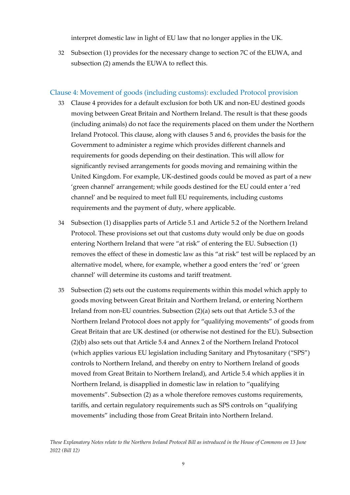interpret domestic law in light of EU law that no longer applies in the UK.

32 Subsection (1) provides for the necessary change to section 7C of the EUWA, and subsection (2) amends the EUWA to reflect this.

#### <span id="page-9-0"></span>Clause 4: Movement of goods (including customs): excluded Protocol provision

- 33 Clause 4 provides for a default exclusion for both UK and non-EU destined goods moving between Great Britain and Northern Ireland. The result is that these goods (including animals) do not face the requirements placed on them under the Northern Ireland Protocol. This clause, along with clauses 5 and 6, provides the basis for the Government to administer a regime which provides different channels and requirements for goods depending on their destination. This will allow for significantly revised arrangements for goods moving and remaining within the United Kingdom. For example, UK-destined goods could be moved as part of a new 'green channel' arrangement; while goods destined for the EU could enter a 'red channel' and be required to meet full EU requirements, including customs requirements and the payment of duty, where applicable.
- 34 Subsection (1) disapplies parts of Article 5.1 and Article 5.2 of the Northern Ireland Protocol. These provisions set out that customs duty would only be due on goods entering Northern Ireland that were "at risk" of entering the EU. Subsection (1) removes the effect of these in domestic law as this "at risk" test will be replaced by an alternative model, where, for example, whether a good enters the 'red' or 'green channel' will determine its customs and tariff treatment.
- 35 Subsection (2) sets out the customs requirements within this model which apply to goods moving between Great Britain and Northern Ireland, or entering Northern Ireland from non-EU countries. Subsection (2)(a) sets out that Article 5.3 of the Northern Ireland Protocol does not apply for "qualifying movements" of goods from Great Britain that are UK destined (or otherwise not destined for the EU). Subsection (2)(b) also sets out that Article 5.4 and Annex 2 of the Northern Ireland Protocol (which applies various EU legislation including Sanitary and Phytosanitary ("SPS") controls to Northern Ireland, and thereby on entry to Northern Ireland of goods moved from Great Britain to Northern Ireland), and Article 5.4 which applies it in Northern Ireland, is disapplied in domestic law in relation to "qualifying movements". Subsection (2) as a whole therefore removes customs requirements, tariffs, and certain regulatory requirements such as SPS controls on "qualifying movements" including those from Great Britain into Northern Ireland.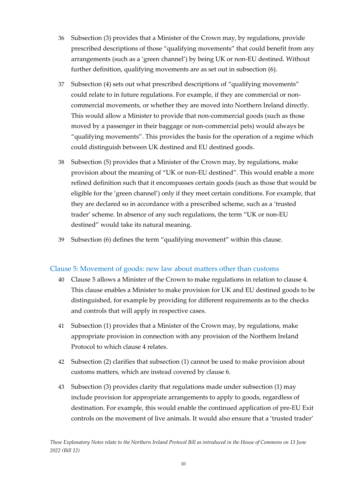- 36 Subsection (3) provides that a Minister of the Crown may, by regulations, provide prescribed descriptions of those "qualifying movements" that could benefit from any arrangements (such as a 'green channel') by being UK or non-EU destined. Without further definition, qualifying movements are as set out in subsection (6).
- 37 Subsection (4) sets out what prescribed descriptions of "qualifying movements" could relate to in future regulations. For example, if they are commercial or noncommercial movements, or whether they are moved into Northern Ireland directly. This would allow a Minister to provide that non-commercial goods (such as those moved by a passenger in their baggage or non-commercial pets) would always be "qualifying movements". This provides the basis for the operation of a regime which could distinguish between UK destined and EU destined goods.
- 38 Subsection (5) provides that a Minister of the Crown may, by regulations, make provision about the meaning of "UK or non-EU destined". This would enable a more refined definition such that it encompasses certain goods (such as those that would be eligible for the 'green channel') only if they meet certain conditions. For example, that they are declared so in accordance with a prescribed scheme, such as a 'trusted trader' scheme. In absence of any such regulations, the term "UK or non-EU destined" would take its natural meaning.
- 39 Subsection (6) defines the term "qualifying movement" within this clause.

#### <span id="page-10-0"></span>Clause 5: Movement of goods: new law about matters other than customs

- 40 Clause 5 allows a Minister of the Crown to make regulations in relation to clause 4. This clause enables a Minister to make provision for UK and EU destined goods to be distinguished, for example by providing for different requirements as to the checks and controls that will apply in respective cases.
- 41 Subsection (1) provides that a Minister of the Crown may, by regulations, make appropriate provision in connection with any provision of the Northern Ireland Protocol to which clause 4 relates.
- 42 Subsection (2) clarifies that subsection (1) cannot be used to make provision about customs matters, which are instead covered by clause 6.
- 43 Subsection (3) provides clarity that regulations made under subsection (1) may include provision for appropriate arrangements to apply to goods, regardless of destination. For example, this would enable the continued application of pre-EU Exit controls on the movement of live animals. It would also ensure that a 'trusted trader'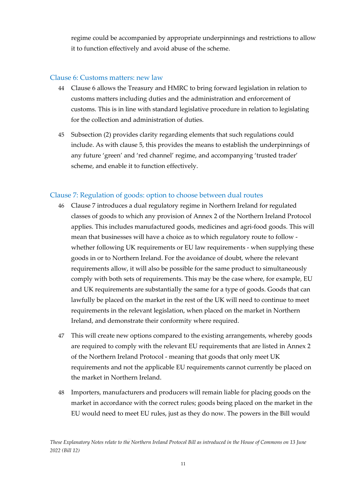regime could be accompanied by appropriate underpinnings and restrictions to allow it to function effectively and avoid abuse of the scheme.

#### <span id="page-11-0"></span>Clause 6: Customs matters: new law

- 44 Clause 6 allows the Treasury and HMRC to bring forward legislation in relation to customs matters including duties and the administration and enforcement of customs. This is in line with standard legislative procedure in relation to legislating for the collection and administration of duties.
- 45 Subsection (2) provides clarity regarding elements that such regulations could include. As with clause 5, this provides the means to establish the underpinnings of any future 'green' and 'red channel' regime, and accompanying 'trusted trader' scheme, and enable it to function effectively.

#### <span id="page-11-1"></span>Clause 7: Regulation of goods: option to choose between dual routes

- 46 Clause 7 introduces a dual regulatory regime in Northern Ireland for regulated classes of goods to which any provision of Annex 2 of the Northern Ireland Protocol applies. This includes manufactured goods, medicines and agri-food goods. This will mean that businesses will have a choice as to which regulatory route to follow whether following UK requirements or EU law requirements - when supplying these goods in or to Northern Ireland. For the avoidance of doubt, where the relevant requirements allow, it will also be possible for the same product to simultaneously comply with both sets of requirements. This may be the case where, for example, EU and UK requirements are substantially the same for a type of goods. Goods that can lawfully be placed on the market in the rest of the UK will need to continue to meet requirements in the relevant legislation, when placed on the market in Northern Ireland, and demonstrate their conformity where required.
- 47 This will create new options compared to the existing arrangements, whereby goods are required to comply with the relevant EU requirements that are listed in Annex 2 of the Northern Ireland Protocol - meaning that goods that only meet UK requirements and not the applicable EU requirements cannot currently be placed on the market in Northern Ireland.
- 48 Importers, manufacturers and producers will remain liable for placing goods on the market in accordance with the correct rules; goods being placed on the market in the EU would need to meet EU rules, just as they do now. The powers in the Bill would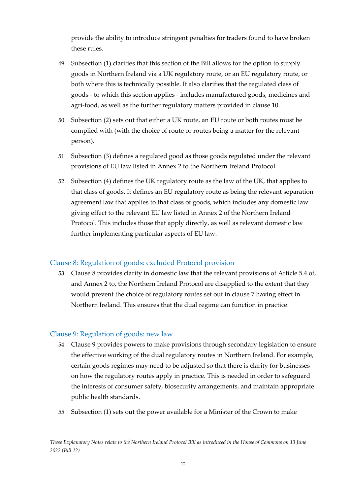provide the ability to introduce stringent penalties for traders found to have broken these rules.

- 49 Subsection (1) clarifies that this section of the Bill allows for the option to supply goods in Northern Ireland via a UK regulatory route, or an EU regulatory route, or both where this is technically possible. It also clarifies that the regulated class of goods - to which this section applies - includes manufactured goods, medicines and agri-food, as well as the further regulatory matters provided in clause 10.
- 50 Subsection (2) sets out that either a UK route, an EU route or both routes must be complied with (with the choice of route or routes being a matter for the relevant person).
- 51 Subsection (3) defines a regulated good as those goods regulated under the relevant provisions of EU law listed in Annex 2 to the Northern Ireland Protocol.
- 52 Subsection (4) defines the UK regulatory route as the law of the UK, that applies to that class of goods. It defines an EU regulatory route as being the relevant separation agreement law that applies to that class of goods, which includes any domestic law giving effect to the relevant EU law listed in Annex 2 of the Northern Ireland Protocol. This includes those that apply directly, as well as relevant domestic law further implementing particular aspects of EU law.

#### <span id="page-12-0"></span>Clause 8: Regulation of goods: excluded Protocol provision

53 Clause 8 provides clarity in domestic law that the relevant provisions of Article 5.4 of, and Annex 2 to, the Northern Ireland Protocol are disapplied to the extent that they would prevent the choice of regulatory routes set out in clause 7 having effect in Northern Ireland. This ensures that the dual regime can function in practice.

#### <span id="page-12-1"></span>Clause 9: Regulation of goods: new law

- 54 Clause 9 provides powers to make provisions through secondary legislation to ensure the effective working of the dual regulatory routes in Northern Ireland. For example, certain goods regimes may need to be adjusted so that there is clarity for businesses on how the regulatory routes apply in practice. This is needed in order to safeguard the interests of consumer safety, biosecurity arrangements, and maintain appropriate public health standards.
- 55 Subsection (1) sets out the power available for a Minister of the Crown to make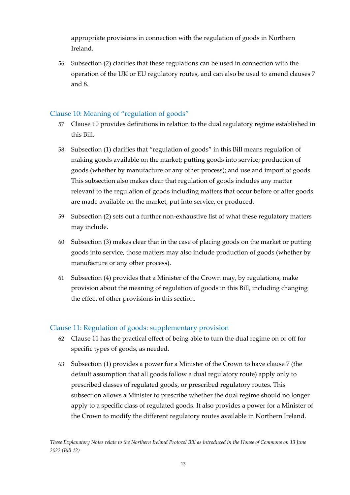appropriate provisions in connection with the regulation of goods in Northern Ireland.

56 Subsection (2) clarifies that these regulations can be used in connection with the operation of the UK or EU regulatory routes, and can also be used to amend clauses 7 and 8.

#### <span id="page-13-0"></span>Clause 10: Meaning of "regulation of goods"

- 57 Clause 10 provides definitions in relation to the dual regulatory regime established in this Bill.
- 58 Subsection (1) clarifies that "regulation of goods" in this Bill means regulation of making goods available on the market; putting goods into service; production of goods (whether by manufacture or any other process); and use and import of goods. This subsection also makes clear that regulation of goods includes any matter relevant to the regulation of goods including matters that occur before or after goods are made available on the market, put into service, or produced.
- 59 Subsection (2) sets out a further non-exhaustive list of what these regulatory matters may include.
- 60 Subsection (3) makes clear that in the case of placing goods on the market or putting goods into service, those matters may also include production of goods (whether by manufacture or any other process).
- 61 Subsection (4) provides that a Minister of the Crown may, by regulations, make provision about the meaning of regulation of goods in this Bill, including changing the effect of other provisions in this section.

#### <span id="page-13-1"></span>Clause 11: Regulation of goods: supplementary provision

- 62 Clause 11 has the practical effect of being able to turn the dual regime on or off for specific types of goods, as needed.
- 63 Subsection (1) provides a power for a Minister of the Crown to have clause 7 (the default assumption that all goods follow a dual regulatory route) apply only to prescribed classes of regulated goods, or prescribed regulatory routes. This subsection allows a Minister to prescribe whether the dual regime should no longer apply to a specific class of regulated goods. It also provides a power for a Minister of the Crown to modify the different regulatory routes available in Northern Ireland.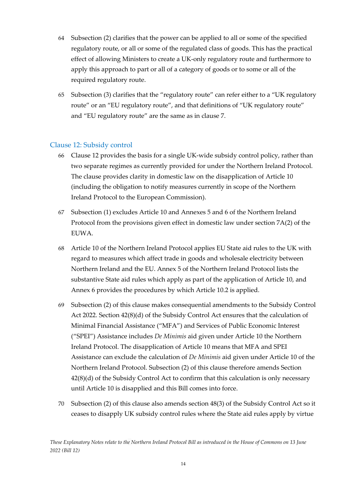- 64 Subsection (2) clarifies that the power can be applied to all or some of the specified regulatory route, or all or some of the regulated class of goods. This has the practical effect of allowing Ministers to create a UK-only regulatory route and furthermore to apply this approach to part or all of a category of goods or to some or all of the required regulatory route.
- 65 Subsection (3) clarifies that the "regulatory route" can refer either to a "UK regulatory route" or an "EU regulatory route", and that definitions of "UK regulatory route" and "EU regulatory route" are the same as in clause 7.

#### <span id="page-14-0"></span>Clause 12: Subsidy control

- 66 Clause 12 provides the basis for a single UK-wide subsidy control policy, rather than two separate regimes as currently provided for under the Northern Ireland Protocol. The clause provides clarity in domestic law on the disapplication of Article 10 (including the obligation to notify measures currently in scope of the Northern Ireland Protocol to the European Commission).
- 67 Subsection (1) excludes Article 10 and Annexes 5 and 6 of the Northern Ireland Protocol from the provisions given effect in domestic law under section 7A(2) of the EUWA.
- 68 Article 10 of the Northern Ireland Protocol applies EU State aid rules to the UK with regard to measures which affect trade in goods and wholesale electricity between Northern Ireland and the EU. Annex 5 of the Northern Ireland Protocol lists the substantive State aid rules which apply as part of the application of Article 10, and Annex 6 provides the procedures by which Article 10.2 is applied.
- 69 Subsection (2) of this clause makes consequential amendments to the Subsidy Control Act 2022. Section 42(8)(d) of the Subsidy Control Act ensures that the calculation of Minimal Financial Assistance ("MFA") and Services of Public Economic Interest ("SPEI") Assistance includes *De Minimis* aid given under Article 10 the Northern Ireland Protocol. The disapplication of Article 10 means that MFA and SPEI Assistance can exclude the calculation of *De Minimis* aid given under Article 10 of the Northern Ireland Protocol. Subsection (2) of this clause therefore amends Section 42(8)(d) of the Subsidy Control Act to confirm that this calculation is only necessary until Article 10 is disapplied and this Bill comes into force.
- 70 Subsection (2) of this clause also amends section 48(3) of the Subsidy Control Act so it ceases to disapply UK subsidy control rules where the State aid rules apply by virtue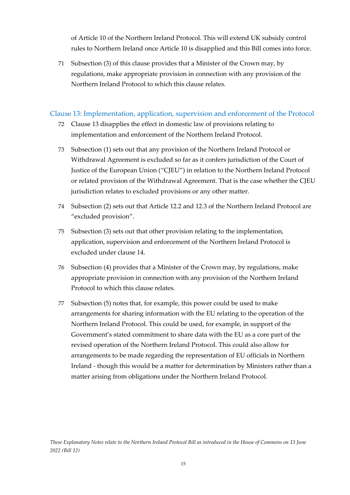of Article 10 of the Northern Ireland Protocol. This will extend UK subsidy control rules to Northern Ireland once Article 10 is disapplied and this Bill comes into force.

71 Subsection (3) of this clause provides that a Minister of the Crown may, by regulations, make appropriate provision in connection with any provision of the Northern Ireland Protocol to which this clause relates.

#### <span id="page-15-0"></span>Clause 13: Implementation, application, supervision and enforcement of the Protocol

- 72 Clause 13 disapplies the effect in domestic law of provisions relating to implementation and enforcement of the Northern Ireland Protocol.
- 73 Subsection (1) sets out that any provision of the Northern Ireland Protocol or Withdrawal Agreement is excluded so far as it confers jurisdiction of the Court of Justice of the European Union ("CJEU") in relation to the Northern Ireland Protocol or related provision of the Withdrawal Agreement. That is the case whether the CJEU jurisdiction relates to excluded provisions or any other matter.
- 74 Subsection (2) sets out that Article 12.2 and 12.3 of the Northern Ireland Protocol are "excluded provision".
- 75 Subsection (3) sets out that other provision relating to the implementation, application, supervision and enforcement of the Northern Ireland Protocol is excluded under clause 14.
- 76 Subsection (4) provides that a Minister of the Crown may, by regulations, make appropriate provision in connection with any provision of the Northern Ireland Protocol to which this clause relates.
- 77 Subsection (5) notes that, for example, this power could be used to make arrangements for sharing information with the EU relating to the operation of the Northern Ireland Protocol. This could be used, for example, in support of the Government's stated commitment to share data with the EU as a core part of the revised operation of the Northern Ireland Protocol. This could also allow for arrangements to be made regarding the representation of EU officials in Northern Ireland - though this would be a matter for determination by Ministers rather than a matter arising from obligations under the Northern Ireland Protocol.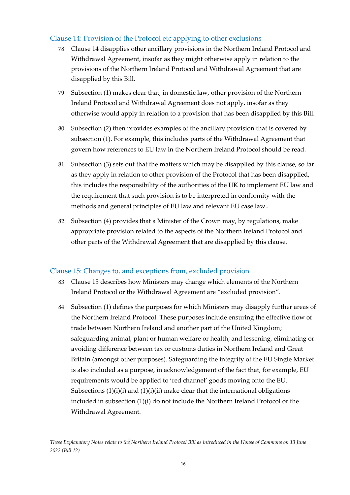#### Clause 14: Provision of the Protocol etc applying to other exclusions

- 78 Clause 14 disapplies other ancillary provisions in the Northern Ireland Protocol and Withdrawal Agreement, insofar as they might otherwise apply in relation to the provisions of the Northern Ireland Protocol and Withdrawal Agreement that are disapplied by this Bill.
- 79 Subsection (1) makes clear that, in domestic law, other provision of the Northern Ireland Protocol and Withdrawal Agreement does not apply, insofar as they otherwise would apply in relation to a provision that has been disapplied by this Bill.
- 80 Subsection (2) then provides examples of the ancillary provision that is covered by subsection (1). For example, this includes parts of the Withdrawal Agreement that govern how references to EU law in the Northern Ireland Protocol should be read.
- <span id="page-16-0"></span>81 Subsection (3) sets out that the matters which may be disapplied by this clause, so far as they apply in relation to other provision of the Protocol that has been disapplied, this includes the responsibility of the authorities of the UK to implement EU law and the requirement that such provision is to be interpreted in conformity with the methods and general principles of EU law and relevant EU case law..
- 82 Subsection (4) provides that a Minister of the Crown may, by regulations, make appropriate provision related to the aspects of the Northern Ireland Protocol and other parts of the Withdrawal Agreement that are disapplied by this clause.

#### <span id="page-16-1"></span>Clause 15: Changes to, and exceptions from, excluded provision

- 83 Clause 15 describes how Ministers may change which elements of the Northern Ireland Protocol or the Withdrawal Agreement are "excluded provision".
- 84 Subsection (1) defines the purposes for which Ministers may disapply further areas of the Northern Ireland Protocol. These purposes include ensuring the effective flow of trade between Northern Ireland and another part of the United Kingdom; safeguarding animal, plant or human welfare or health; and lessening, eliminating or avoiding difference between tax or customs duties in Northern Ireland and Great Britain (amongst other purposes). Safeguarding the integrity of the EU Single Market is also included as a purpose, in acknowledgement of the fact that, for example, EU requirements would be applied to 'red channel' goods moving onto the EU. Subsections  $(1)(i)(i)$  and  $(1)(i)(ii)$  make clear that the international obligations included in subsection (1)(i) do not include the Northern Ireland Protocol or the Withdrawal Agreement.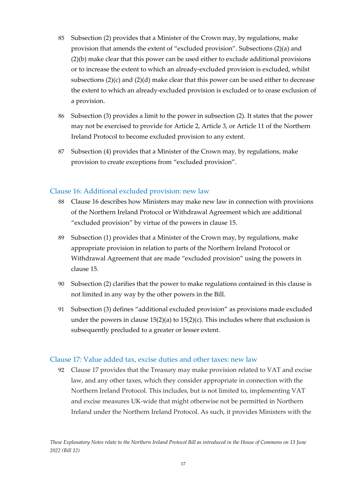- 85 Subsection (2) provides that a Minister of the Crown may, by regulations, make provision that amends the extent of "excluded provision". Subsections (2)(a) and (2)(b) make clear that this power can be used either to exclude additional provisions or to increase the extent to which an already-excluded provision is excluded, whilst subsections (2)(c) and (2)(d) make clear that this power can be used either to decrease the extent to which an already-excluded provision is excluded or to cease exclusion of a provision.
- 86 Subsection (3) provides a limit to the power in subsection (2). It states that the power may not be exercised to provide for Article 2, Article 3, or Article 11 of the Northern Ireland Protocol to become excluded provision to any extent.
- 87 Subsection (4) provides that a Minister of the Crown may, by regulations, make provision to create exceptions from "excluded provision".

#### <span id="page-17-0"></span>Clause 16: Additional excluded provision: new law

- 88 Clause 16 describes how Ministers may make new law in connection with provisions of the Northern Ireland Protocol or Withdrawal Agreement which are additional "excluded provision" by virtue of the powers in clause 15.
- 89 Subsection (1) provides that a Minister of the Crown may, by regulations, make appropriate provision in relation to parts of the Northern Ireland Protocol or Withdrawal Agreement that are made "excluded provision" using the powers in clause 15.
- 90 Subsection (2) clarifies that the power to make regulations contained in this clause is not limited in any way by the other powers in the Bill.
- 91 Subsection (3) defines "additional excluded provision" as provisions made excluded under the powers in clause  $15(2)(a)$  to  $15(2)(c)$ . This includes where that exclusion is subsequently precluded to a greater or lesser extent.

#### <span id="page-17-1"></span>Clause 17: Value added tax, excise duties and other taxes: new law

92 Clause 17 provides that the Treasury may make provision related to VAT and excise law, and any other taxes, which they consider appropriate in connection with the Northern Ireland Protocol. This includes, but is not limited to, implementing VAT and excise measures UK-wide that might otherwise not be permitted in Northern Ireland under the Northern Ireland Protocol. As such, it provides Ministers with the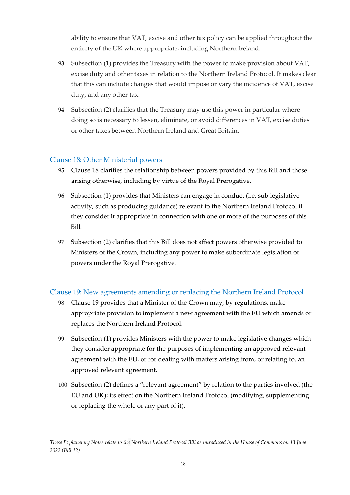ability to ensure that VAT, excise and other tax policy can be applied throughout the entirety of the UK where appropriate, including Northern Ireland.

- 93 Subsection (1) provides the Treasury with the power to make provision about VAT, excise duty and other taxes in relation to the Northern Ireland Protocol. It makes clear that this can include changes that would impose or vary the incidence of VAT, excise duty, and any other tax.
- 94 Subsection (2) clarifies that the Treasury may use this power in particular where doing so is necessary to lessen, eliminate, or avoid differences in VAT, excise duties or other taxes between Northern Ireland and Great Britain.

#### <span id="page-18-0"></span>Clause 18: Other Ministerial powers

- 95 Clause 18 clarifies the relationship between powers provided by this Bill and those arising otherwise, including by virtue of the Royal Prerogative.
- 96 Subsection (1) provides that Ministers can engage in conduct (i.e. sub-legislative activity, such as producing guidance) relevant to the Northern Ireland Protocol if they consider it appropriate in connection with one or more of the purposes of this Bill.
- 97 Subsection (2) clarifies that this Bill does not affect powers otherwise provided to Ministers of the Crown, including any power to make subordinate legislation or powers under the Royal Prerogative.

#### <span id="page-18-1"></span>Clause 19: New agreements amending or replacing the Northern Ireland Protocol

- 98 Clause 19 provides that a Minister of the Crown may, by regulations, make appropriate provision to implement a new agreement with the EU which amends or replaces the Northern Ireland Protocol.
- 99 Subsection (1) provides Ministers with the power to make legislative changes which they consider appropriate for the purposes of implementing an approved relevant agreement with the EU, or for dealing with matters arising from, or relating to, an approved relevant agreement.
- 100 Subsection (2) defines a "relevant agreement" by relation to the parties involved (the EU and UK); its effect on the Northern Ireland Protocol (modifying, supplementing or replacing the whole or any part of it).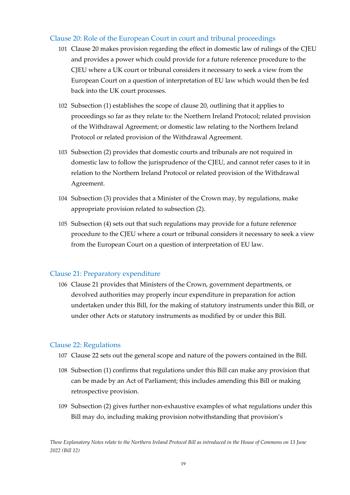#### <span id="page-19-0"></span>Clause 20: Role of the European Court in court and tribunal proceedings

- 101 Clause 20 makes provision regarding the effect in domestic law of rulings of the CJEU and provides a power which could provide for a future reference procedure to the CJEU where a UK court or tribunal considers it necessary to seek a view from the European Court on a question of interpretation of EU law which would then be fed back into the UK court processes.
- 102 Subsection (1) establishes the scope of clause 20, outlining that it applies to proceedings so far as they relate to: the Northern Ireland Protocol; related provision of the Withdrawal Agreement; or domestic law relating to the Northern Ireland Protocol or related provision of the Withdrawal Agreement.
- 103 Subsection (2) provides that domestic courts and tribunals are not required in domestic law to follow the jurisprudence of the CJEU, and cannot refer cases to it in relation to the Northern Ireland Protocol or related provision of the Withdrawal Agreement.
- 104 Subsection (3) provides that a Minister of the Crown may, by regulations, make appropriate provision related to subsection (2).
- 105 Subsection (4) sets out that such regulations may provide for a future reference procedure to the CJEU where a court or tribunal considers it necessary to seek a view from the European Court on a question of interpretation of EU law.

#### <span id="page-19-1"></span>Clause 21: Preparatory expenditure

106 Clause 21 provides that Ministers of the Crown, government departments, or devolved authorities may properly incur expenditure in preparation for action undertaken under this Bill, for the making of statutory instruments under this Bill, or under other Acts or statutory instruments as modified by or under this Bill.

#### <span id="page-19-2"></span>Clause 22: Regulations

- 107 Clause 22 sets out the general scope and nature of the powers contained in the Bill.
- 108 Subsection (1) confirms that regulations under this Bill can make any provision that can be made by an Act of Parliament; this includes amending this Bill or making retrospective provision.
- 109 Subsection (2) gives further non-exhaustive examples of what regulations under this Bill may do, including making provision notwithstanding that provision's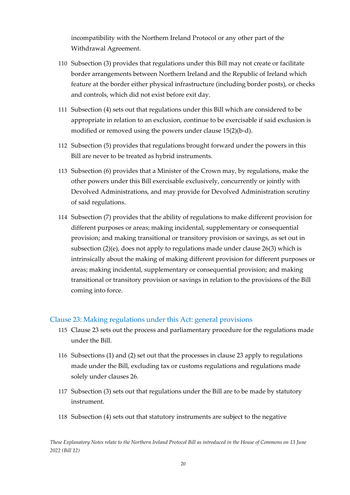incompatibility with the Northern Ireland Protocol or any other part of the Withdrawal Agreement.

- 110 Subsection (3) provides that regulations under this Bill may not create or facilitate border arrangements between Northern Ireland and the Republic of Ireland which feature at the border either physical infrastructure (including border posts), or checks and controls, which did not exist before exit day.
- 111 Subsection (4) sets out that regulations under this Bill which are considered to be appropriate in relation to an exclusion, continue to be exercisable if said exclusion is modified or removed using the powers under clause 15(2)(b-d).
- 112 Subsection (5) provides that regulations brought forward under the powers in this Bill are never to be treated as hybrid instruments.
- 113 Subsection (6) provides that a Minister of the Crown may, by regulations, make the other powers under this Bill exercisable exclusively, concurrently or jointly with Devolved Administrations, and may provide for Devolved Administration scrutiny of said regulations.
- 114 Subsection (7) provides that the ability of regulations to make different provision for different purposes or areas; making incidental, supplementary or consequential provision; and making transitional or transitory provision or savings, as set out in subsection  $(2)(e)$ , does not apply to regulations made under clause 26(3) which is intrinsically about the making of making different provision for different purposes or areas; making incidental, supplementary or consequential provision; and making transitional or transitory provision or savings in relation to the provisions of the Bill coming into force.

#### <span id="page-20-0"></span>Clause 23: Making regulations under this Act: general provisions

- 115 Clause 23 sets out the process and parliamentary procedure for the regulations made under the Bill.
- 116 Subsections (1) and (2) set out that the processes in clause 23 apply to regulations made under the Bill, excluding tax or customs regulations and regulations made solely under clauses 26.
- 117 Subsection (3) sets out that regulations under the Bill are to be made by statutory instrument.
- 118 Subsection (4) sets out that statutory instruments are subject to the negative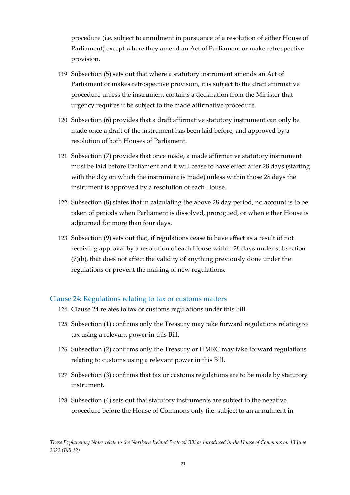procedure (i.e. subject to annulment in pursuance of a resolution of either House of Parliament) except where they amend an Act of Parliament or make retrospective provision.

- 119 Subsection (5) sets out that where a statutory instrument amends an Act of Parliament or makes retrospective provision, it is subject to the draft affirmative procedure unless the instrument contains a declaration from the Minister that urgency requires it be subject to the made affirmative procedure.
- 120 Subsection (6) provides that a draft affirmative statutory instrument can only be made once a draft of the instrument has been laid before, and approved by a resolution of both Houses of Parliament.
- 121 Subsection (7) provides that once made, a made affirmative statutory instrument must be laid before Parliament and it will cease to have effect after 28 days (starting with the day on which the instrument is made) unless within those 28 days the instrument is approved by a resolution of each House.
- 122 Subsection (8) states that in calculating the above 28 day period, no account is to be taken of periods when Parliament is dissolved, prorogued, or when either House is adjourned for more than four days.
- 123 Subsection (9) sets out that, if regulations cease to have effect as a result of not receiving approval by a resolution of each House within 28 days under subsection (7)(b), that does not affect the validity of anything previously done under the regulations or prevent the making of new regulations.

#### <span id="page-21-0"></span>Clause 24: Regulations relating to tax or customs matters

- 124 Clause 24 relates to tax or customs regulations under this Bill.
- 125 Subsection (1) confirms only the Treasury may take forward regulations relating to tax using a relevant power in this Bill.
- 126 Subsection (2) confirms only the Treasury or HMRC may take forward regulations relating to customs using a relevant power in this Bill.
- 127 Subsection (3) confirms that tax or customs regulations are to be made by statutory instrument.
- 128 Subsection (4) sets out that statutory instruments are subject to the negative procedure before the House of Commons only (i.e. subject to an annulment in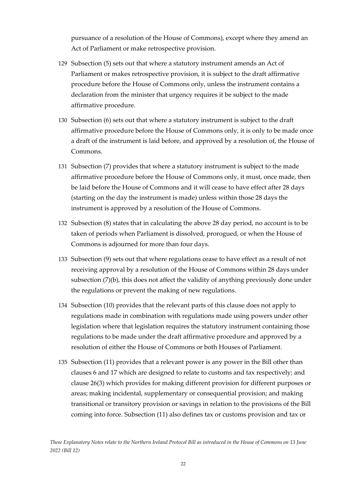pursuance of a resolution of the House of Commons), except where they amend an Act of Parliament or make retrospective provision.

- 129 Subsection (5) sets out that where a statutory instrument amends an Act of Parliament or makes retrospective provision, it is subject to the draft affirmative procedure before the House of Commons only, unless the instrument contains a declaration from the minister that urgency requires it be subject to the made affirmative procedure.
- 130 Subsection (6) sets out that where a statutory instrument is subject to the draft affirmative procedure before the House of Commons only, it is only to be made once a draft of the instrument is laid before, and approved by a resolution of, the House of Commons.
- 131 Subsection (7) provides that where a statutory instrument is subject to the made affirmative procedure before the House of Commons only, it must, once made, then be laid before the House of Commons and it will cease to have effect after 28 days (starting on the day the instrument is made) unless within those 28 days the instrument is approved by a resolution of the House of Commons.
- 132 Subsection (8) states that in calculating the above 28 day period, no account is to be taken of periods when Parliament is dissolved, prorogued, or when the House of Commons is adjourned for more than four days.
- 133 Subsection (9) sets out that where regulations cease to have effect as a result of not receiving approval by a resolution of the House of Commons within 28 days under subsection (7)(b), this does not affect the validity of anything previously done under the regulations or prevent the making of new regulations.
- 134 Subsection (10) provides that the relevant parts of this clause does not apply to regulations made in combination with regulations made using powers under other legislation where that legislation requires the statutory instrument containing those regulations to be made under the draft affirmative procedure and approved by a resolution of either the House of Commons or both Houses of Parliament.
- 135 Subsection (11) provides that a relevant power is any power in the Bill other than clauses 6 and 17 which are designed to relate to customs and tax respectively; and clause 26(3) which provides for making different provision for different purposes or areas; making incidental, supplementary or consequential provision; and making transitional or transitory provision or savings in relation to the provisions of the Bill coming into force. Subsection (11) also defines tax or customs provision and tax or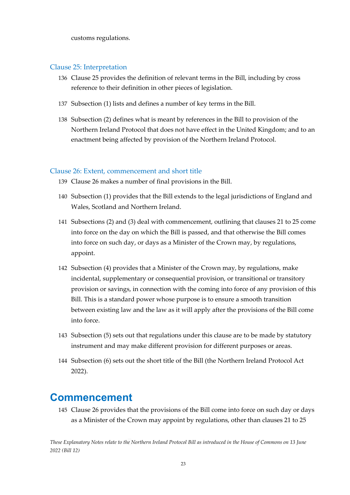customs regulations.

#### <span id="page-23-0"></span>Clause 25: Interpretation

- 136 Clause 25 provides the definition of relevant terms in the Bill, including by cross reference to their definition in other pieces of legislation.
- 137 Subsection (1) lists and defines a number of key terms in the Bill.
- 138 Subsection (2) defines what is meant by references in the Bill to provision of the Northern Ireland Protocol that does not have effect in the United Kingdom; and to an enactment being affected by provision of the Northern Ireland Protocol.

#### <span id="page-23-1"></span>Clause 26: Extent, commencement and short title

- 139 Clause 26 makes a number of final provisions in the Bill.
- 140 Subsection (1) provides that the Bill extends to the legal jurisdictions of England and Wales, Scotland and Northern Ireland.
- 141 Subsections (2) and (3) deal with commencement, outlining that clauses 21 to 25 come into force on the day on which the Bill is passed, and that otherwise the Bill comes into force on such day, or days as a Minister of the Crown may, by regulations, appoint.
- 142 Subsection (4) provides that a Minister of the Crown may, by regulations, make incidental, supplementary or consequential provision, or transitional or transitory provision or savings, in connection with the coming into force of any provision of this Bill. This is a standard power whose purpose is to ensure a smooth transition between existing law and the law as it will apply after the provisions of the Bill come into force.
- 143 Subsection (5) sets out that regulations under this clause are to be made by statutory instrument and may make different provision for different purposes or areas.
- 144 Subsection (6) sets out the short title of the Bill (the Northern Ireland Protocol Act 2022).

#### <span id="page-23-2"></span>**Commencement**

145 Clause 26 provides that the provisions of the Bill come into force on such day or days as a Minister of the Crown may appoint by regulations, other than clauses 21 to 25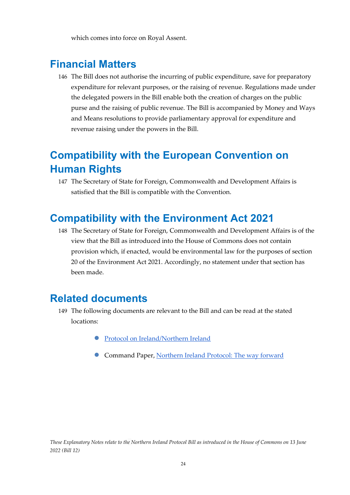which comes into force on Royal Assent.

### <span id="page-24-0"></span>**Financial Matters**

146 The Bill does not authorise the incurring of public expenditure, save for preparatory expenditure for relevant purposes, or the raising of revenue. Regulations made under the delegated powers in the Bill enable both the creation of charges on the public purse and the raising of public revenue. The Bill is accompanied by Money and Ways and Means resolutions to provide parliamentary approval for expenditure and revenue raising under the powers in the Bill.

### <span id="page-24-1"></span>**Compatibility with the European Convention on Human Rights**

147 The Secretary of State for Foreign, Commonwealth and Development Affairs is satisfied that the Bill is compatible with the Convention.

### <span id="page-24-2"></span>**Compatibility with the Environment Act 2021**

148 The Secretary of State for Foreign, Commonwealth and Development Affairs is of the view that the Bill as introduced into the House of Commons does not contain provision which, if enacted, would be environmental law for the purposes of section 20 of the Environment Act 2021. Accordingly, no statement under that section has been made.

### <span id="page-24-3"></span>**Related documents**

- 149 The following documents are relevant to the Bill and can be read at the stated locations:
	- [Protocol on Ireland/Northern Ireland](https://assets.publishing.service.gov.uk/government/uploads/system/uploads/attachment_data/file/840230/Revised_Protocol_to_the_Withdrawal_Agreement.pdf)
	- Command Paper, [Northern Ireland Protocol: The way forward](https://assets.publishing.service.gov.uk/government/uploads/system/uploads/attachment_data/file/1008451/CCS207_CCS0721914902-005_Northern_Ireland_Protocol_Web_Accessible__1_.pdf)